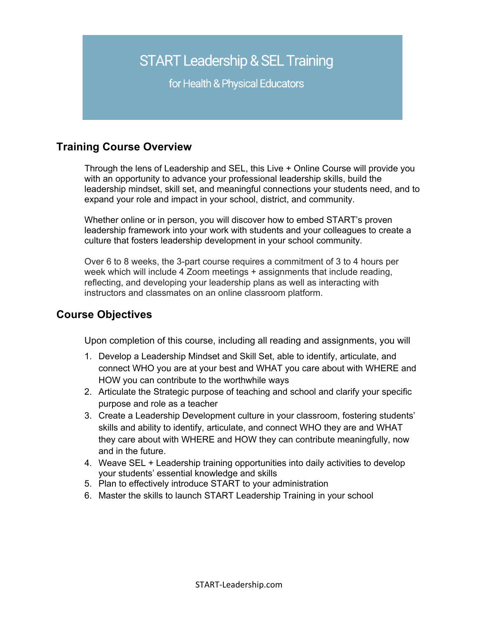# **START Leadership & SEL Training**

for Health & Physical Educators

# **Training Course Overview**

Through the lens of Leadership and SEL, this Live + Online Course will provide you with an opportunity to advance your professional leadership skills, build the leadership mindset, skill set, and meaningful connections your students need, and to expand your role and impact in your school, district, and community.

Whether online or in person, you will discover how to embed START's proven leadership framework into your work with students and your colleagues to create a culture that fosters leadership development in your school community.

Over 6 to 8 weeks, the 3-part course requires a commitment of 3 to 4 hours per week which will include 4 Zoom meetings + assignments that include reading, reflecting, and developing your leadership plans as well as interacting with instructors and classmates on an online classroom platform.

### **Course Objectives**

Upon completion of this course, including all reading and assignments, you will

- 1. Develop a Leadership Mindset and Skill Set, able to identify, articulate, and connect WHO you are at your best and WHAT you care about with WHERE and HOW you can contribute to the worthwhile ways
- 2. Articulate the Strategic purpose of teaching and school and clarify your specific purpose and role as a teacher
- 3. Create a Leadership Development culture in your classroom, fostering students' skills and ability to identify, articulate, and connect WHO they are and WHAT they care about with WHERE and HOW they can contribute meaningfully, now and in the future.
- 4. Weave SEL + Leadership training opportunities into daily activities to develop your students' essential knowledge and skills
- 5. Plan to effectively introduce START to your administration
- 6. Master the skills to launch START Leadership Training in your school